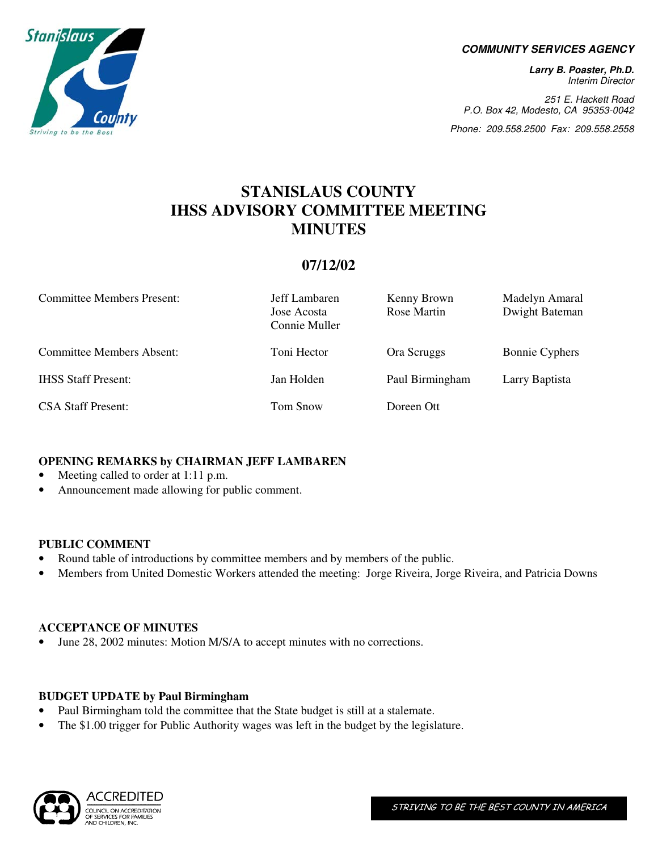

#### **COMMUNITY SERVICES AGENCY**

**Larry B. Poaster, Ph.D.**  Interim Director

251 E. Hackett Road P.O. Box 42, Modesto, CA 95353-0042

Phone: 209.558.2500 Fax: 209.558.2558

# **STANISLAUS COUNTY IHSS ADVISORY COMMITTEE MEETING MINUTES**

## **07/12/02**

| <b>Committee Members Present:</b> | Jeff Lambaren<br>Jose Acosta<br>Connie Muller | Kenny Brown<br>Rose Martin | Madelyn Amaral<br>Dwight Bateman |
|-----------------------------------|-----------------------------------------------|----------------------------|----------------------------------|
| <b>Committee Members Absent:</b>  | Toni Hector                                   | Ora Scruggs                | <b>Bonnie Cyphers</b>            |
| <b>IHSS Staff Present:</b>        | Jan Holden                                    | Paul Birmingham            | Larry Baptista                   |
| <b>CSA Staff Present:</b>         | Tom Snow                                      | Doreen Ott                 |                                  |

## **OPENING REMARKS by CHAIRMAN JEFF LAMBAREN**

- Meeting called to order at 1:11 p.m.
- Announcement made allowing for public comment.

## **PUBLIC COMMENT**

- Round table of introductions by committee members and by members of the public.
- Members from United Domestic Workers attended the meeting: Jorge Riveira, Jorge Riveira, and Patricia Downs

## **ACCEPTANCE OF MINUTES**

• June 28, 2002 minutes: Motion M/S/A to accept minutes with no corrections.

## **BUDGET UPDATE by Paul Birmingham**

- Paul Birmingham told the committee that the State budget is still at a stalemate.
- The \$1.00 trigger for Public Authority wages was left in the budget by the legislature.

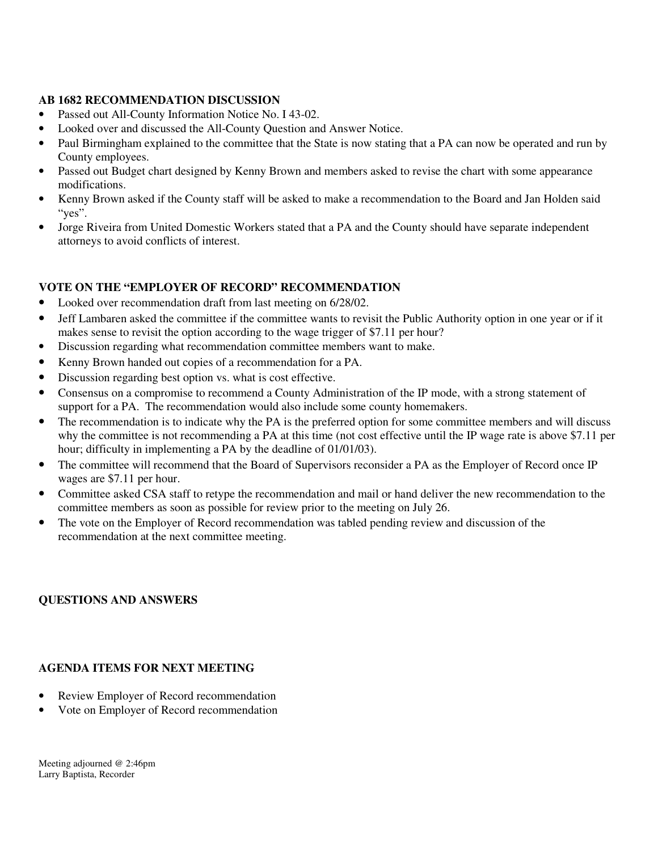## **AB 1682 RECOMMENDATION DISCUSSION**

- Passed out All-County Information Notice No. I 43-02.
- Looked over and discussed the All-County Question and Answer Notice.
- Paul Birmingham explained to the committee that the State is now stating that a PA can now be operated and run by County employees.
- Passed out Budget chart designed by Kenny Brown and members asked to revise the chart with some appearance modifications.
- Kenny Brown asked if the County staff will be asked to make a recommendation to the Board and Jan Holden said "yes".
- Jorge Riveira from United Domestic Workers stated that a PA and the County should have separate independent attorneys to avoid conflicts of interest.

## **VOTE ON THE "EMPLOYER OF RECORD" RECOMMENDATION**

- Looked over recommendation draft from last meeting on 6/28/02.
- Jeff Lambaren asked the committee if the committee wants to revisit the Public Authority option in one year or if it makes sense to revisit the option according to the wage trigger of \$7.11 per hour?
- Discussion regarding what recommendation committee members want to make.
- Kenny Brown handed out copies of a recommendation for a PA.
- Discussion regarding best option vs. what is cost effective.
- Consensus on a compromise to recommend a County Administration of the IP mode, with a strong statement of support for a PA. The recommendation would also include some county homemakers.
- The recommendation is to indicate why the PA is the preferred option for some committee members and will discuss why the committee is not recommending a PA at this time (not cost effective until the IP wage rate is above \$7.11 per hour; difficulty in implementing a PA by the deadline of 01/01/03).
- The committee will recommend that the Board of Supervisors reconsider a PA as the Employer of Record once IP wages are \$7.11 per hour.
- Committee asked CSA staff to retype the recommendation and mail or hand deliver the new recommendation to the committee members as soon as possible for review prior to the meeting on July 26.
- The vote on the Employer of Record recommendation was tabled pending review and discussion of the recommendation at the next committee meeting.

## **QUESTIONS AND ANSWERS**

## **AGENDA ITEMS FOR NEXT MEETING**

- Review Employer of Record recommendation
- Vote on Employer of Record recommendation

Meeting adjourned @ 2:46pm Larry Baptista, Recorder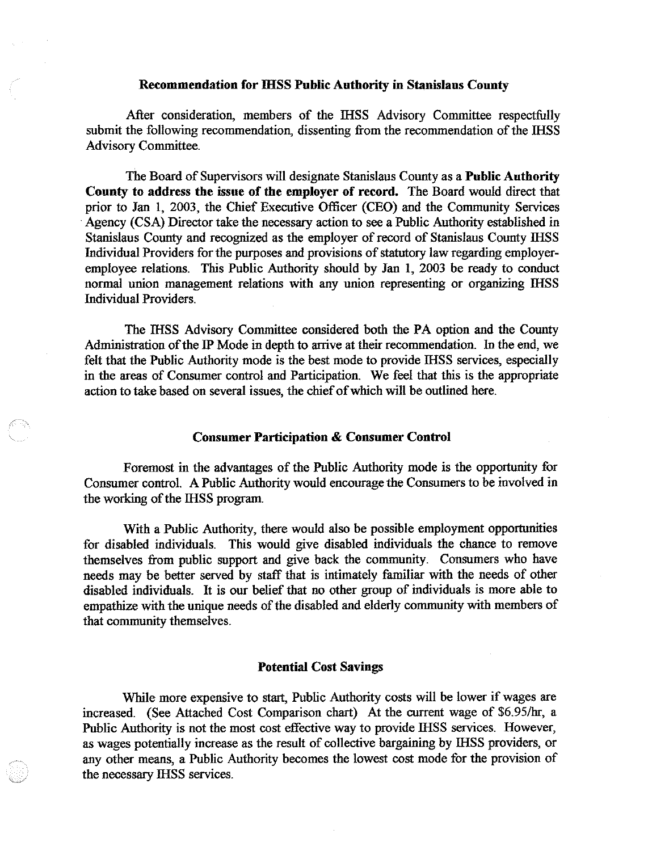#### Recommendation for IHSS Public Authority in Stanislaus County

After consideration, members of the IHSS Advisory Committee respectfully submit the following recommendation, dissenting from the recommendation of the IHSS **Advisory Committee.** 

The Board of Supervisors will designate Stanislaus County as a Public Authority County to address the issue of the employer of record. The Board would direct that prior to Jan 1, 2003, the Chief Executive Officer (CEO) and the Community Services Agency (CSA) Director take the necessary action to see a Public Authority established in Stanislaus County and recognized as the employer of record of Stanislaus County IHSS Individual Providers for the purposes and provisions of statutory law regarding employeremployee relations. This Public Authority should by Jan 1, 2003 be ready to conduct normal union management relations with any union representing or organizing IHSS **Individual Providers.** 

The IHSS Advisory Committee considered both the PA option and the County Administration of the IP Mode in depth to arrive at their recommendation. In the end, we felt that the Public Authority mode is the best mode to provide IHSS services, especially in the areas of Consumer control and Participation. We feel that this is the appropriate action to take based on several issues, the chief of which will be outlined here.

#### **Consumer Participation & Consumer Control**

Foremost in the advantages of the Public Authority mode is the opportunity for Consumer control. A Public Authority would encourage the Consumers to be involved in the working of the IHSS program.

With a Public Authority, there would also be possible employment opportunities for disabled individuals. This would give disabled individuals the chance to remove themselves from public support and give back the community. Consumers who have needs may be better served by staff that is intimately familiar with the needs of other disabled individuals. It is our belief that no other group of individuals is more able to empathize with the unique needs of the disabled and elderly community with members of that community themselves.

#### **Potential Cost Savings**

While more expensive to start, Public Authority costs will be lower if wages are increased. (See Attached Cost Comparison chart) At the current wage of \$6.95/hr, a Public Authority is not the most cost effective way to provide IHSS services. However, as wages potentially increase as the result of collective bargaining by IHSS providers, or any other means, a Public Authority becomes the lowest cost mode for the provision of the necessary IHSS services.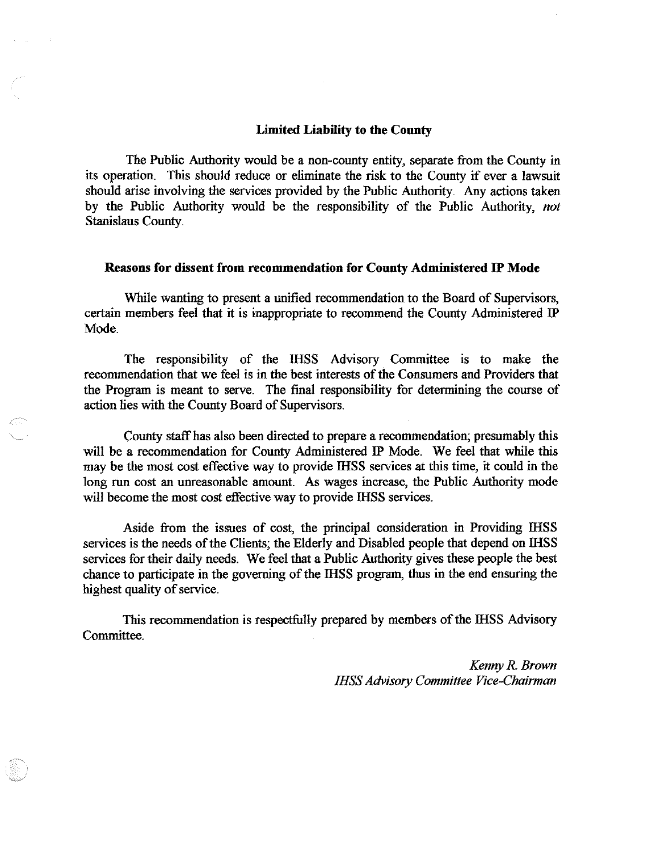#### **Limited Liability to the County**

The Public Authority would be a non-county entity, separate from the County in its operation. This should reduce or eliminate the risk to the County if ever a lawsuit should arise involving the services provided by the Public Authority. Any actions taken by the Public Authority would be the responsibility of the Public Authority. not Stanislaus County.

#### Reasons for dissent from recommendation for County Administered IP Mode

While wanting to present a unified recommendation to the Board of Supervisors, certain members feel that it is inappropriate to recommend the County Administered IP Mode.

The responsibility of the IHSS Advisory Committee is to make the recommendation that we feel is in the best interests of the Consumers and Providers that the Program is meant to serve. The final responsibility for determining the course of action lies with the County Board of Supervisors.

County staff has also been directed to prepare a recommendation; presumably this will be a recommendation for County Administered IP Mode. We feel that while this may be the most cost effective way to provide IHSS services at this time, it could in the long run cost an unreasonable amount. As wages increase, the Public Authority mode will become the most cost effective way to provide IHSS services.

Aside from the issues of cost, the principal consideration in Providing IHSS services is the needs of the Clients; the Elderly and Disabled people that depend on IHSS services for their daily needs. We feel that a Public Authority gives these people the best chance to participate in the governing of the IHSS program, thus in the end ensuring the highest quality of service.

This recommendation is respectfully prepared by members of the IHSS Advisory Committee.

> Kenny R. Brown **IHSS Advisory Committee Vice-Chairman**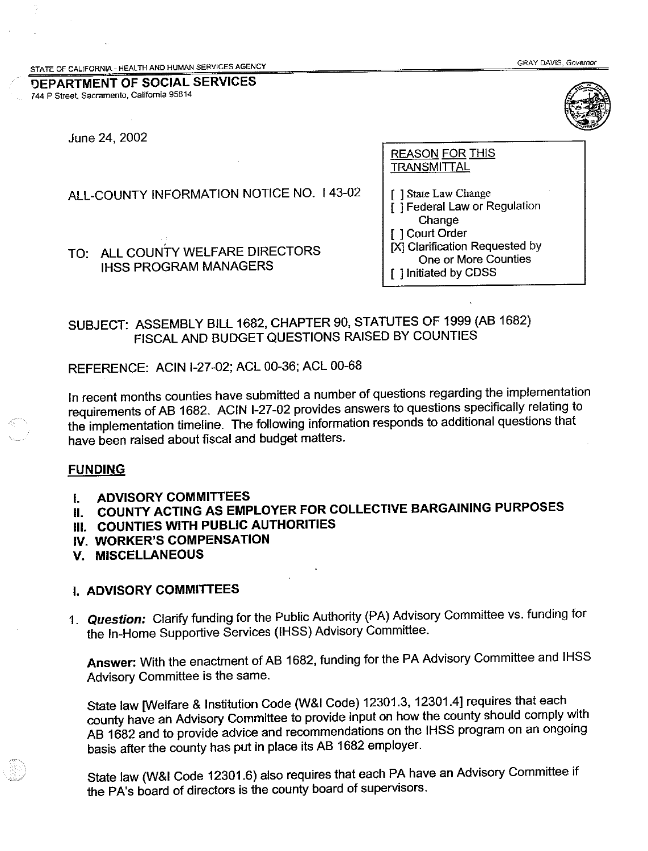STATE OF CALIFORNIA - HEALTH AND HUMAN SERVICES AGENCY

DEPARTMENT OF SOCIAL SERVICES 744 P Street, Sacramento, California 95814



June 24, 2002

ALL-COUNTY INFORMATION NOTICE NO. 143-02

TO: ALL COUNTY WELFARE DIRECTORS **IHSS PROGRAM MANAGERS** 

**REASON FOR THIS TRANSMITTAL** [ ] State Law Change I Federal Law or Regulation Change [ ] Court Order

- **IXI** Clarification Requested by One or More Counties
- [ ] Initiated by CDSS

## SUBJECT: ASSEMBLY BILL 1682, CHAPTER 90, STATUTES OF 1999 (AB 1682) FISCAL AND BUDGET QUESTIONS RAISED BY COUNTIES

REFERENCE: ACIN I-27-02; ACL 00-36; ACL 00-68

In recent months counties have submitted a number of questions regarding the implementation requirements of AB 1682. ACIN I-27-02 provides answers to questions specifically relating to the implementation timeline. The following information responds to additional questions that have been raised about fiscal and budget matters.

## **FUNDING**

- **ADVISORY COMMITTEES**  $\mathbf{L}$
- COUNTY ACTING AS EMPLOYER FOR COLLECTIVE BARGAINING PURPOSES **II.**
- III. COUNTIES WITH PUBLIC AUTHORITIES
- IV. WORKER'S COMPENSATION
- V. MISCELLANEOUS

## **I. ADVISORY COMMITTEES**

1. Question: Clarify funding for the Public Authority (PA) Advisory Committee vs. funding for the In-Home Supportive Services (IHSS) Advisory Committee.

Answer: With the enactment of AB 1682, funding for the PA Advisory Committee and IHSS Advisory Committee is the same.

State law [Welfare & Institution Code (W&I Code) 12301.3, 12301.4] requires that each county have an Advisory Committee to provide input on how the county should comply with AB 1682 and to provide advice and recommendations on the IHSS program on an ongoing basis after the county has put in place its AB 1682 employer.

State law (W&I Code 12301.6) also requires that each PA have an Advisory Committee if the PA's board of directors is the county board of supervisors.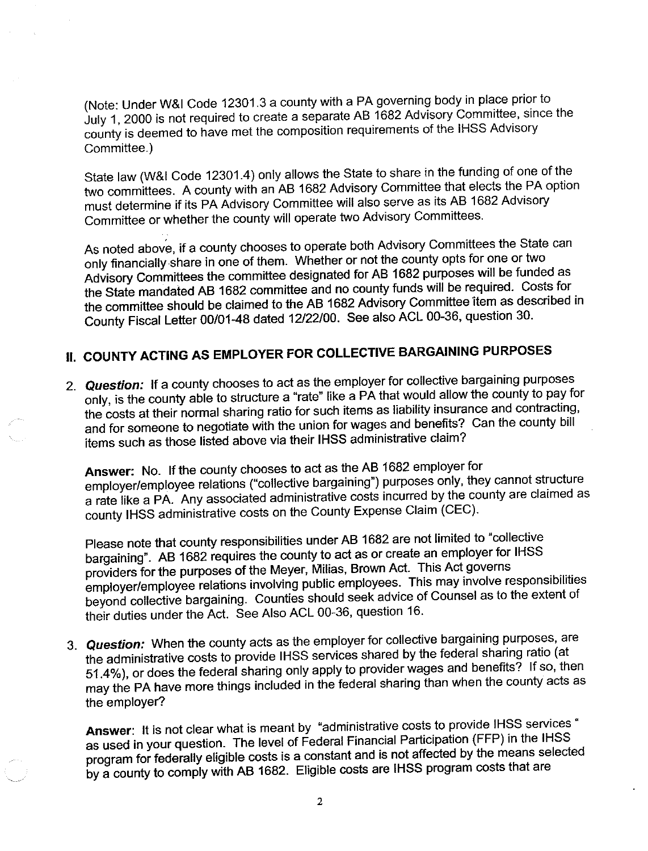(Note: Under W&I Code 12301.3 a county with a PA governing body in place prior to July 1, 2000 is not required to create a separate AB 1682 Advisory Committee, since the county is deemed to have met the composition requirements of the IHSS Advisory Committee.)

State law (W&I Code 12301.4) only allows the State to share in the funding of one of the two committees. A county with an AB 1682 Advisory Committee that elects the PA option must determine if its PA Advisory Committee will also serve as its AB 1682 Advisory Committee or whether the county will operate two Advisory Committees.

As noted above, if a county chooses to operate both Advisory Committees the State can only financially share in one of them. Whether or not the county opts for one or two Advisory Committees the committee designated for AB 1682 purposes will be funded as the State mandated AB 1682 committee and no county funds will be required. Costs for the committee should be claimed to the AB 1682 Advisory Committee item as described in County Fiscal Letter 00/01-48 dated 12/22/00. See also ACL 00-36, question 30.

# II. COUNTY ACTING AS EMPLOYER FOR COLLECTIVE BARGAINING PURPOSES

2. Question: If a county chooses to act as the employer for collective bargaining purposes only, is the county able to structure a "rate" like a PA that would allow the county to pay for the costs at their normal sharing ratio for such items as liability insurance and contracting, and for someone to negotiate with the union for wages and benefits? Can the county bill items such as those listed above via their IHSS administrative claim?

Answer: No. If the county chooses to act as the AB 1682 employer for employer/employee relations ("collective bargaining") purposes only, they cannot structure a rate like a PA. Any associated administrative costs incurred by the county are claimed as county IHSS administrative costs on the County Expense Claim (CEC).

Please note that county responsibilities under AB 1682 are not limited to "collective bargaining". AB 1682 requires the county to act as or create an employer for IHSS providers for the purposes of the Meyer, Milias, Brown Act. This Act governs employer/employee relations involving public employees. This may involve responsibilities beyond collective bargaining. Counties should seek advice of Counsel as to the extent of their duties under the Act. See Also ACL 00-36, question 16.

3. Question: When the county acts as the employer for collective bargaining purposes, are the administrative costs to provide IHSS services shared by the federal sharing ratio (at 51.4%), or does the federal sharing only apply to provider wages and benefits? If so, then may the PA have more things included in the federal sharing than when the county acts as the employer?

Answer: It is not clear what is meant by "administrative costs to provide IHSS services" as used in your question. The level of Federal Financial Participation (FFP) in the IHSS program for federally eligible costs is a constant and is not affected by the means selected by a county to comply with AB 1682. Eligible costs are IHSS program costs that are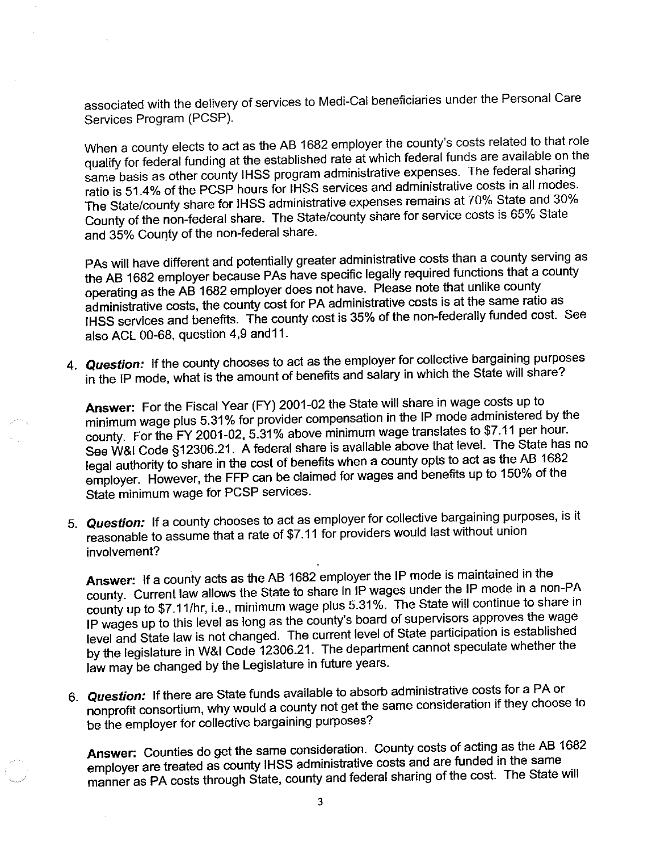associated with the delivery of services to Medi-Cal beneficiaries under the Personal Care Services Program (PCSP).

When a county elects to act as the AB 1682 employer the county's costs related to that role qualify for federal funding at the established rate at which federal funds are available on the same basis as other county IHSS program administrative expenses. The federal sharing ratio is 51.4% of the PCSP hours for IHSS services and administrative costs in all modes. The State/county share for IHSS administrative expenses remains at 70% State and 30% County of the non-federal share. The State/county share for service costs is 65% State and 35% County of the non-federal share.

PAs will have different and potentially greater administrative costs than a county serving as the AB 1682 employer because PAs have specific legally required functions that a county operating as the AB 1682 employer does not have. Please note that unlike county administrative costs, the county cost for PA administrative costs is at the same ratio as IHSS services and benefits. The county cost is 35% of the non-federally funded cost. See also ACL 00-68, question 4,9 and 11.

4. Question: If the county chooses to act as the employer for collective bargaining purposes in the IP mode, what is the amount of benefits and salary in which the State will share?

Answer: For the Fiscal Year (FY) 2001-02 the State will share in wage costs up to minimum wage plus 5.31% for provider compensation in the IP mode administered by the county. For the FY 2001-02, 5.31% above minimum wage translates to \$7.11 per hour. See W&I Code §12306.21. A federal share is available above that level. The State has no legal authority to share in the cost of benefits when a county opts to act as the AB 1682 employer. However, the FFP can be claimed for wages and benefits up to 150% of the State minimum wage for PCSP services.

5. Question: If a county chooses to act as employer for collective bargaining purposes, is it reasonable to assume that a rate of \$7.11 for providers would last without union involvement?

Answer: If a county acts as the AB 1682 employer the IP mode is maintained in the county. Current law allows the State to share in IP wages under the IP mode in a non-PA county up to \$7.11/hr, i.e., minimum wage plus 5.31%. The State will continue to share in IP wages up to this level as long as the county's board of supervisors approves the wage level and State law is not changed. The current level of State participation is established by the legislature in W&I Code 12306.21. The department cannot speculate whether the law may be changed by the Legislature in future years.

6. Question: If there are State funds available to absorb administrative costs for a PA or nonprofit consortium, why would a county not get the same consideration if they choose to be the employer for collective bargaining purposes?

Answer: Counties do get the same consideration. County costs of acting as the AB 1682 employer are treated as county IHSS administrative costs and are funded in the same manner as PA costs through State, county and federal sharing of the cost. The State will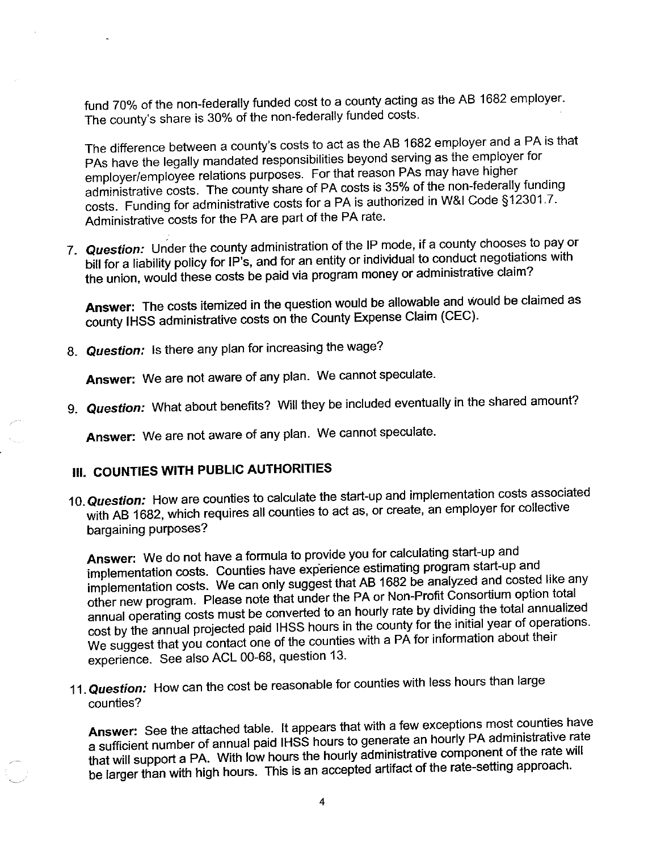fund 70% of the non-federally funded cost to a county acting as the AB 1682 employer. The county's share is 30% of the non-federally funded costs.

The difference between a county's costs to act as the AB 1682 employer and a PA is that PAs have the legally mandated responsibilities beyond serving as the employer for employer/employee relations purposes. For that reason PAs may have higher administrative costs. The county share of PA costs is 35% of the non-federally funding costs. Funding for administrative costs for a PA is authorized in W&I Code §12301.7. Administrative costs for the PA are part of the PA rate.

7. Question: Under the county administration of the IP mode, if a county chooses to pay or bill for a liability policy for IP's, and for an entity or individual to conduct negotiations with the union, would these costs be paid via program money or administrative claim?

Answer: The costs itemized in the question would be allowable and would be claimed as county IHSS administrative costs on the County Expense Claim (CEC).

8. Question: Is there any plan for increasing the wage?

Answer: We are not aware of any plan. We cannot speculate.

9. Question: What about benefits? Will they be included eventually in the shared amount?

Answer: We are not aware of any plan. We cannot speculate.

# **III. COUNTIES WITH PUBLIC AUTHORITIES**

10. Question: How are counties to calculate the start-up and implementation costs associated with AB 1682, which requires all counties to act as, or create, an employer for collective bargaining purposes?

Answer: We do not have a formula to provide you for calculating start-up and implementation costs. Counties have experience estimating program start-up and implementation costs. We can only suggest that AB 1682 be analyzed and costed like any other new program. Please note that under the PA or Non-Profit Consortium option total annual operating costs must be converted to an hourly rate by dividing the total annualized cost by the annual projected paid IHSS hours in the county for the initial year of operations. We suggest that you contact one of the counties with a PA for information about their experience. See also ACL 00-68, question 13.

11. Question: How can the cost be reasonable for counties with less hours than large counties?

Answer: See the attached table. It appears that with a few exceptions most counties have a sufficient number of annual paid IHSS hours to generate an hourly PA administrative rate that will support a PA. With low hours the hourly administrative component of the rate will be larger than with high hours. This is an accepted artifact of the rate-setting approach.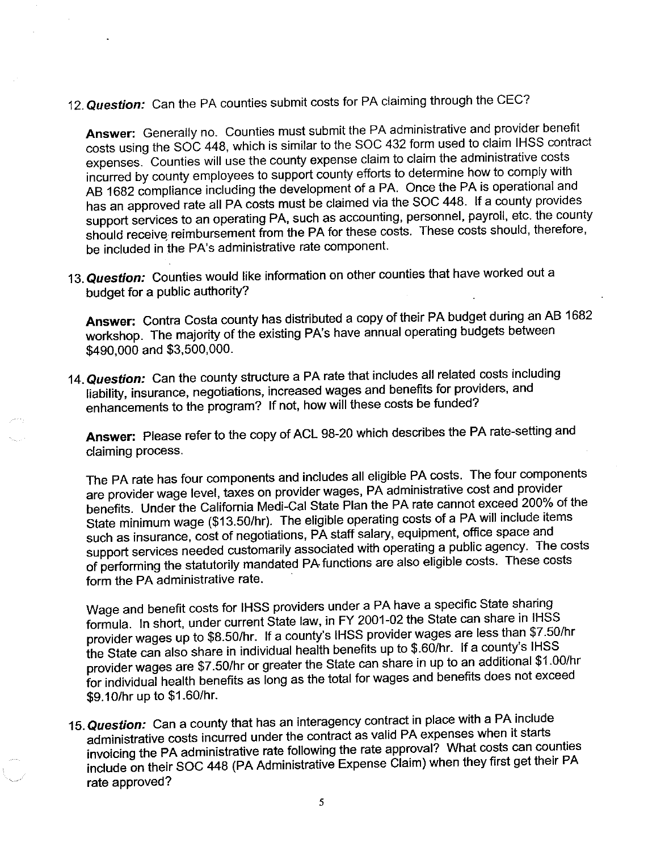12. Question: Can the PA counties submit costs for PA claiming through the CEC?

Answer: Generally no. Counties must submit the PA administrative and provider benefit costs using the SOC 448, which is similar to the SOC 432 form used to claim IHSS contract expenses. Counties will use the county expense claim to claim the administrative costs incurred by county employees to support county efforts to determine how to comply with AB 1682 compliance including the development of a PA. Once the PA is operational and has an approved rate all PA costs must be claimed via the SOC 448. If a county provides support services to an operating PA, such as accounting, personnel, payroll, etc. the county should receive reimbursement from the PA for these costs. These costs should, therefore, be included in the PA's administrative rate component.

13. Question: Counties would like information on other counties that have worked out a budget for a public authority?

Answer: Contra Costa county has distributed a copy of their PA budget during an AB 1682 workshop. The majority of the existing PA's have annual operating budgets between \$490,000 and \$3,500,000.

14. Question: Can the county structure a PA rate that includes all related costs including liability, insurance, negotiations, increased wages and benefits for providers, and enhancements to the program? If not, how will these costs be funded?

Answer: Please refer to the copy of ACL 98-20 which describes the PA rate-setting and claiming process.

The PA rate has four components and includes all eligible PA costs. The four components are provider wage level, taxes on provider wages, PA administrative cost and provider benefits. Under the California Medi-Cal State Plan the PA rate cannot exceed 200% of the State minimum wage (\$13.50/hr). The eligible operating costs of a PA will include items such as insurance, cost of negotiations, PA staff salary, equipment, office space and support services needed customarily associated with operating a public agency. The costs of performing the statutorily mandated PA functions are also eligible costs. These costs form the PA administrative rate.

Wage and benefit costs for IHSS providers under a PA have a specific State sharing formula. In short, under current State law, in FY 2001-02 the State can share in IHSS provider wages up to \$8.50/hr. If a county's IHSS provider wages are less than \$7.50/hr the State can also share in individual health benefits up to \$.60/hr. If a county's IHSS provider wages are \$7.50/hr or greater the State can share in up to an additional \$1.00/hr for individual health benefits as long as the total for wages and benefits does not exceed \$9.10/hr up to \$1.60/hr.

15. Question: Can a county that has an interagency contract in place with a PA include administrative costs incurred under the contract as valid PA expenses when it starts invoicing the PA administrative rate following the rate approval? What costs can counties include on their SOC 448 (PA Administrative Expense Claim) when they first get their PA rate approved?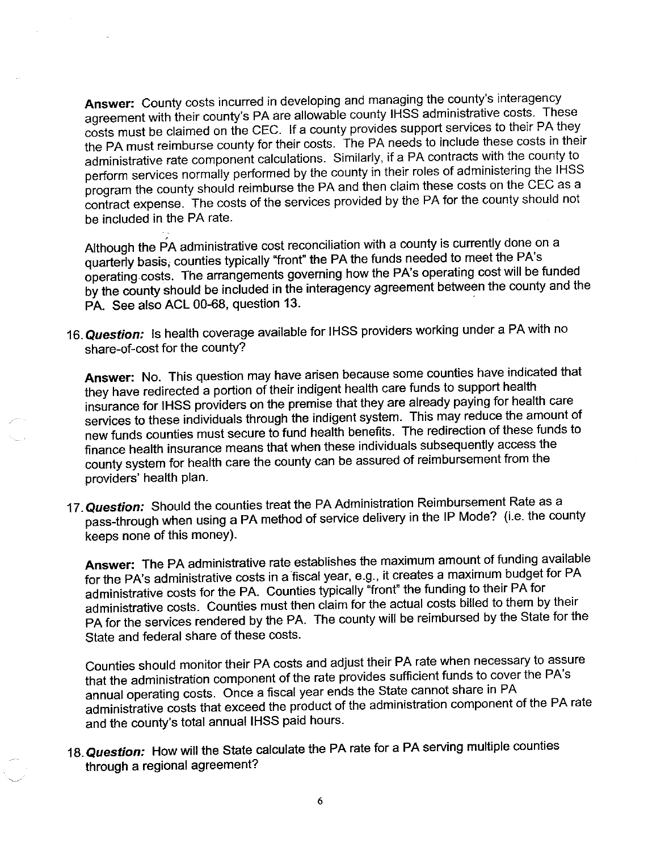Answer: County costs incurred in developing and managing the county's interagency agreement with their county's PA are allowable county IHSS administrative costs. These costs must be claimed on the CEC. If a county provides support services to their PA they the PA must reimburse county for their costs. The PA needs to include these costs in their administrative rate component calculations. Similarly, if a PA contracts with the county to perform services normally performed by the county in their roles of administering the IHSS program the county should reimburse the PA and then claim these costs on the CEC as a contract expense. The costs of the services provided by the PA for the county should not be included in the PA rate.

Although the PA administrative cost reconciliation with a county is currently done on a quarterly basis, counties typically "front" the PA the funds needed to meet the PA's operating costs. The arrangements governing how the PA's operating cost will be funded by the county should be included in the interagency agreement between the county and the PA. See also ACL 00-68, question 13.

16. Question: Is health coverage available for IHSS providers working under a PA with no share-of-cost for the county?

Answer: No. This question may have arisen because some counties have indicated that they have redirected a portion of their indigent health care funds to support health insurance for IHSS providers on the premise that they are already paying for health care services to these individuals through the indigent system. This may reduce the amount of new funds counties must secure to fund health benefits. The redirection of these funds to finance health insurance means that when these individuals subsequently access the county system for health care the county can be assured of reimbursement from the providers' health plan.

17. Question: Should the counties treat the PA Administration Reimbursement Rate as a pass-through when using a PA method of service delivery in the IP Mode? (i.e. the county keeps none of this money).

Answer: The PA administrative rate establishes the maximum amount of funding available for the PA's administrative costs in a fiscal year, e.g., it creates a maximum budget for PA administrative costs for the PA. Counties typically "front" the funding to their PA for administrative costs. Counties must then claim for the actual costs billed to them by their PA for the services rendered by the PA. The county will be reimbursed by the State for the State and federal share of these costs.

Counties should monitor their PA costs and adjust their PA rate when necessary to assure that the administration component of the rate provides sufficient funds to cover the PA's annual operating costs. Once a fiscal year ends the State cannot share in PA administrative costs that exceed the product of the administration component of the PA rate and the county's total annual IHSS paid hours.

18. Question: How will the State calculate the PA rate for a PA serving multiple counties through a regional agreement?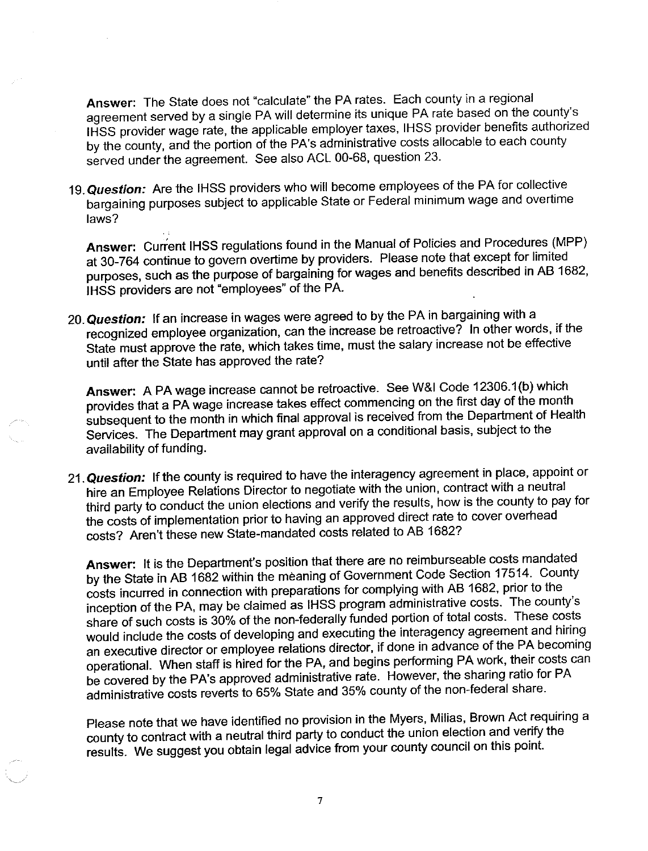Answer: The State does not "calculate" the PA rates. Each county in a regional agreement served by a single PA will determine its unique PA rate based on the county's IHSS provider wage rate, the applicable employer taxes, IHSS provider benefits authorized by the county, and the portion of the PA's administrative costs allocable to each county served under the agreement. See also ACL 00-68, question 23.

19. Question: Are the IHSS providers who will become employees of the PA for collective bargaining purposes subject to applicable State or Federal minimum wage and overtime laws?

Answer: Current IHSS regulations found in the Manual of Policies and Procedures (MPP) at 30-764 continue to govern overtime by providers. Please note that except for limited purposes, such as the purpose of bargaining for wages and benefits described in AB 1682, IHSS providers are not "employees" of the PA.

20. Question: If an increase in wages were agreed to by the PA in bargaining with a recognized employee organization, can the increase be retroactive? In other words, if the State must approve the rate, which takes time, must the salary increase not be effective until after the State has approved the rate?

Answer: A PA wage increase cannot be retroactive. See W&I Code 12306.1(b) which provides that a PA wage increase takes effect commencing on the first day of the month subsequent to the month in which final approval is received from the Department of Health Services. The Department may grant approval on a conditional basis, subject to the availability of funding.

21. Question: If the county is required to have the interagency agreement in place, appoint or hire an Employee Relations Director to negotiate with the union, contract with a neutral third party to conduct the union elections and verify the results, how is the county to pay for the costs of implementation prior to having an approved direct rate to cover overhead costs? Aren't these new State-mandated costs related to AB 1682?

Answer: It is the Department's position that there are no reimburseable costs mandated by the State in AB 1682 within the meaning of Government Code Section 17514. County costs incurred in connection with preparations for complying with AB 1682, prior to the inception of the PA, may be claimed as IHSS program administrative costs. The county's share of such costs is 30% of the non-federally funded portion of total costs. These costs would include the costs of developing and executing the interagency agreement and hiring an executive director or employee relations director, if done in advance of the PA becoming operational. When staff is hired for the PA, and begins performing PA work, their costs can be covered by the PA's approved administrative rate. However, the sharing ratio for PA administrative costs reverts to 65% State and 35% county of the non-federal share.

Please note that we have identified no provision in the Myers, Milias, Brown Act requiring a county to contract with a neutral third party to conduct the union election and verify the results. We suggest you obtain legal advice from your county council on this point.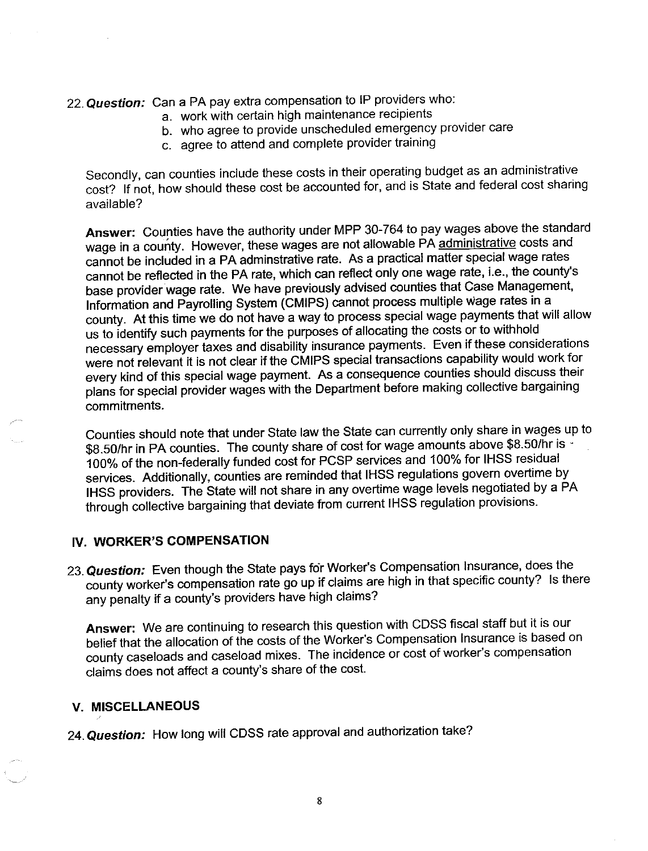22. Question: Can a PA pay extra compensation to IP providers who:

- a. work with certain high maintenance recipients
- b. who agree to provide unscheduled emergency provider care
- c. agree to attend and complete provider training

Secondly, can counties include these costs in their operating budget as an administrative cost? If not, how should these cost be accounted for, and is State and federal cost sharing available?

Answer: Counties have the authority under MPP 30-764 to pay wages above the standard wage in a county. However, these wages are not allowable PA administrative costs and cannot be included in a PA adminstrative rate. As a practical matter special wage rates cannot be reflected in the PA rate, which can reflect only one wage rate, i.e., the county's base provider wage rate. We have previously advised counties that Case Management, Information and Payrolling System (CMIPS) cannot process multiple wage rates in a county. At this time we do not have a way to process special wage payments that will allow us to identify such payments for the purposes of allocating the costs or to withhold necessary employer taxes and disability insurance payments. Even if these considerations were not relevant it is not clear if the CMIPS special transactions capability would work for every kind of this special wage payment. As a consequence counties should discuss their plans for special provider wages with the Department before making collective bargaining commitments.

Counties should note that under State law the State can currently only share in wages up to \$8.50/hr in PA counties. The county share of cost for wage amounts above \$8.50/hr is 100% of the non-federally funded cost for PCSP services and 100% for IHSS residual services. Additionally, counties are reminded that IHSS regulations govern overtime by IHSS providers. The State will not share in any overtime wage levels negotiated by a PA through collective bargaining that deviate from current IHSS regulation provisions.

## IV. WORKER'S COMPENSATION

23. Question: Even though the State pays for Worker's Compensation Insurance, does the county worker's compensation rate go up if claims are high in that specific county? Is there any penalty if a county's providers have high claims?

Answer: We are continuing to research this question with CDSS fiscal staff but it is our belief that the allocation of the costs of the Worker's Compensation Insurance is based on county caseloads and caseload mixes. The incidence or cost of worker's compensation claims does not affect a county's share of the cost.

## V. MISCELLANEOUS

24. Question: How long will CDSS rate approval and authorization take?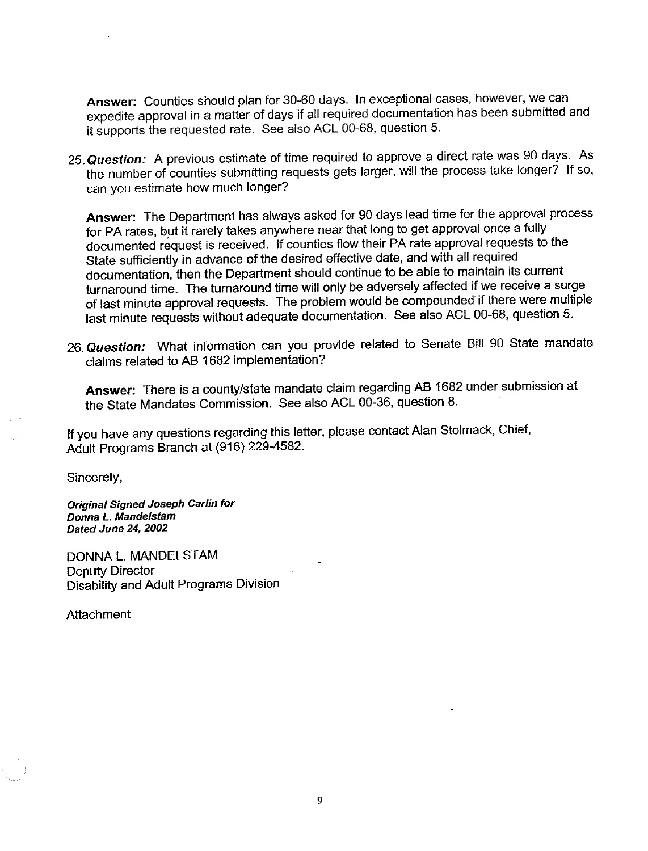Answer: Counties should plan for 30-60 days. In exceptional cases, however, we can expedite approval in a matter of days if all required documentation has been submitted and it supports the requested rate. See also ACL 00-68, question 5.

25. Question: A previous estimate of time required to approve a direct rate was 90 days. As the number of counties submitting requests gets larger, will the process take longer? If so, can you estimate how much longer?

Answer: The Department has always asked for 90 days lead time for the approval process for PA rates, but it rarely takes anywhere near that long to get approval once a fully documented request is received. If counties flow their PA rate approval requests to the State sufficiently in advance of the desired effective date, and with all required documentation, then the Department should continue to be able to maintain its current turnaround time. The turnaround time will only be adversely affected if we receive a surge of last minute approval requests. The problem would be compounded if there were multiple last minute requests without adequate documentation. See also ACL 00-68, question 5.

26. Question: What information can you provide related to Senate Bill 90 State mandate claims related to AB 1682 implementation?

Answer: There is a county/state mandate claim regarding AB 1682 under submission at the State Mandates Commission. See also ACL 00-36, question 8.

If you have any questions regarding this letter, please contact Alan Stolmack, Chief, Adult Programs Branch at (916) 229-4582.

Sincerely,

**Original Signed Joseph Carlin for** Donna L. Mandelstam Dated June 24, 2002

DONNA L. MANDELSTAM **Deputy Director** Disability and Adult Programs Division

Attachment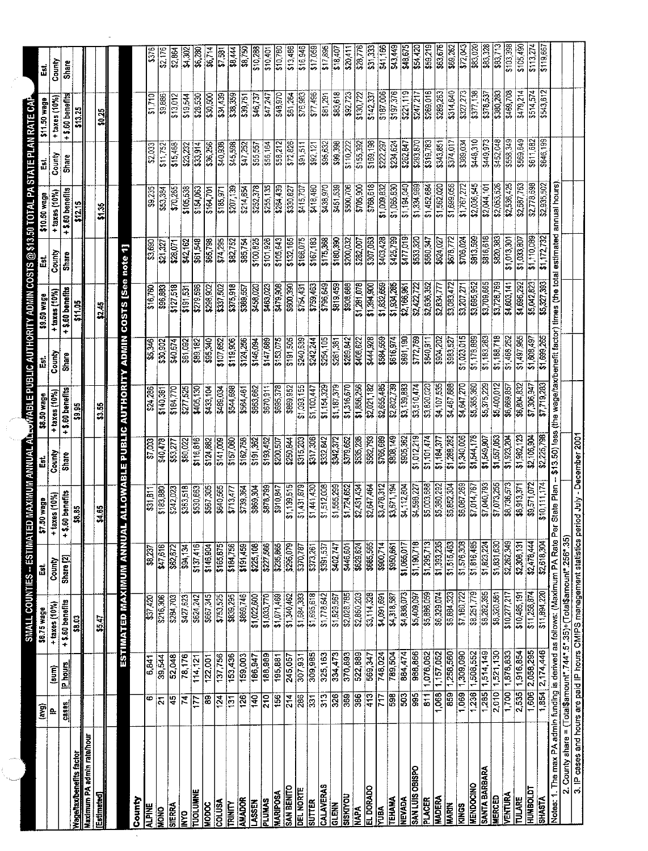| . ALLOWABLE PUBLIC AUTHORITY ADMIN COSTS [See note 1]<br>\$3,139,883<br>$\frac{55}{2}$<br>\$9 95<br>\$1,340,006<br>\$1,544,178<br>\$808,149<br>\$905,362<br>\$1,012,219<br>\$1,101,474<br>\$1,288,282<br>\$332,842<br>\$342,372<br>\$535,238<br>\$582,793<br>$\sqrt{$765,689}$<br>\$1,549,907<br>\$315,203<br>\$317,308<br>379,652<br>51184,377<br>\$116.816<br>\$124,882<br>$\frac{1}{141000}$<br>\$157,060<br>\$162,758<br>\$191,362<br>\$193,452<br>\$250,844<br>840.478<br>\$80,022<br>$\frac{60}{3}$<br>$\frac{1}{200,507}$<br>\$53.277<br>County<br>Share<br>\$6,087,269<br>\$5,852,304<br>\$4,112,804<br>\$5,003,688<br>\$5,380,292<br>\$7,040,793<br>6/81,64.187<br>\$1,512,008<br>\$1,555,299<br>\$2,647,464<br>\$3,478,312<br>\$3,671,194<br>29/14/28<br>\$1,139,515<br>\$1,441,430<br>\$1,724,652<br>\$2,431,434<br>\$4,598,227<br>\$640,565<br>\$878,799<br>\$363,518<br>\$567,305<br>\$739,364<br>\$869,304<br>$\frac{1}{2810,847}$<br>\$242,023<br>\$530,663<br>\$183,880<br>\$31,811<br>\$713,477<br>60 benefits<br>+ taxes (10%)<br>eBam gg'<br><b>\$8.85</b><br>\$4.65<br>نه<br>+<br>ESTIMATED MAXIMUM ANNUA<br>\$1,190,718<br>\$1,295,713<br>\$1,576,308<br>\$1,816,485<br>\$685,565<br>1,333,235<br>31,515,463<br>\$1,823,224<br>3900,714<br>\$629,624<br>\$950,661<br>\$1,065,017<br>\$295,079<br>\$446,601<br>\$391,537<br>\$137,416<br>\$165,875<br>\$184,756<br>\$191,459<br>\$225,108<br>\$227,566<br>\$235,865<br>\$373,261<br>\$47,616<br>\$146,904<br>\$370,787<br>\$402,747<br>\$62,672<br>394,134<br>\$8,237<br>Share <sub>[2]</sub><br>County<br>\$8,282,395<br>\$8,251,779<br>\$5,886,059<br>\$6,884,323<br>\$4,838,073<br>\$6,329,074<br>\$7,160,722<br>\$1,695,618<br>\$2,028,785<br>\$2,860,203<br>\$3,114,328<br>\$869,746<br>\$1,071,469<br>\$1,340,462<br>\$1,684,383<br>\$1,778,642<br>\$667,345<br>\$753,525<br>\$1,022,600<br>\$1,033,770<br>\$4,091,691<br>\$427,623<br>\$624,242<br>\$839,295<br>\$4,318,587<br>\$5,409,097<br>\$37,420<br>\$216,306<br>\$284,703<br>\$1,829,56<br>$+$ \$.60 benefits<br>$+$ taxes (10%)<br>\$8.03<br>55.47<br>1514,149<br>884,474<br>988,866<br>$\frac{1}{1}$ 157,052<br>$\frac{1,258,560}{2}$<br>1,309,090<br>1,508,552<br>334,473<br>522,889<br>748,024<br>789,504<br>1,076,062<br>309,985<br>325,163<br>370,893<br>$\frac{137,756}{ }$<br>$\frac{153,436}{5}$<br>159,003<br>188,989<br>307,931<br>52,048<br>78,176<br>195,881<br>569,347<br>6.841<br>39,544<br>$\frac{122,001}{2}$<br>245,057<br>114, 121<br>186,947<br><u>IP hours</u><br>(sum)<br>1,285<br>1,069<br>1,236<br>859<br>1,068<br>503<br>385<br>$\overline{811}$<br>326<br>369<br>386<br>$\frac{1}{3}$<br>598<br>313<br>ភ្ន<br>$\frac{156}{156}$<br>$\frac{1}{214}$<br>286<br>ξh<br>126<br>140<br>$\overline{\tilde{z}}$<br>$\overline{331}$<br>ဖ<br>45<br>4<br>န္ထ<br>$\overline{131}$<br>Z<br>ļΞ<br><b>Cases</b><br>흐<br><b>Nage/tax/benefits factor</b><br><b>O4SIBO SINT NYS</b><br><b>SANTA BARBARA</b><br><b>MENDOCINO</b><br><b>CALAVERAS</b><br><b>SAN BENITO</b><br>EL DORADO<br><b>DEL NORTE</b><br><b>TOLUMNE</b><br><b>MARIPOSA</b><br><b>UOADKSIS</b><br><b>MADERA</b><br><b>NEVADA</b><br><b>PLACER</b><br><b>ANADOR</b><br><b>TEHAMA</b><br><b>PLUMAS</b><br><b>SUTTER</b><br><b>MARIN</b><br><b>RONDK</b><br><b>NAPA</b><br>YША | \$695,378<br>\$663,662<br>\$277,525<br>\$405,130<br>\$544,698<br>\$670,911<br>\$24,286<br>\$184,770<br>33,104<br>\$489,034<br>+\$.60 benefits<br>\$564,461<br>\$140,381<br>+ taxes (10%)<br>\$8.50 wage | $\sqrt{279,596}$<br>3375,918<br>\$127,518<br>\$337,502<br>\$458,020<br>\$96,883<br>3298,902<br>$\frac{1}{16,760}$<br>\$191,531<br>\$389,557<br>+ \$.60 benefits<br>$+$ taxes (10%)<br>\$9.50 wage<br>\$11.05<br>\$2.45<br>\$124.256<br>\$19,906<br>$\frac{1}{2107}$ 652<br>\$146.094<br>डि<br>इ.स.<br>\$40,674<br>\$61.092<br>\$89,182<br>\$95,340<br>\$30,902<br>County<br>Share | \$61548<br>\$65.798<br>\$42,162<br>33,590<br>\$28.071<br>\$21.327<br>County<br>Share | County<br>Share<br>+ \$.60 benefits<br>+ taxes (10%)<br>\$10.50 wage<br>$\frac{12.15}{2}$<br>51.35 | +\$.60 benefits<br>$+$ taxes (10%)<br>\$11.50 wage         | County                  |
|--------------------------------------------------------------------------------------------------------------------------------------------------------------------------------------------------------------------------------------------------------------------------------------------------------------------------------------------------------------------------------------------------------------------------------------------------------------------------------------------------------------------------------------------------------------------------------------------------------------------------------------------------------------------------------------------------------------------------------------------------------------------------------------------------------------------------------------------------------------------------------------------------------------------------------------------------------------------------------------------------------------------------------------------------------------------------------------------------------------------------------------------------------------------------------------------------------------------------------------------------------------------------------------------------------------------------------------------------------------------------------------------------------------------------------------------------------------------------------------------------------------------------------------------------------------------------------------------------------------------------------------------------------------------------------------------------------------------------------------------------------------------------------------------------------------------------------------------------------------------------------------------------------------------------------------------------------------------------------------------------------------------------------------------------------------------------------------------------------------------------------------------------------------------------------------------------------------------------------------------------------------------------------------------------------------------------------------------------------------------------------------------------------------------------------------------------------------------------------------------------------------------------------------------------------------------------------------------------------------------------------------------------------------------------------------------------------------------------------------------------------------------------------------------------------------------------------------------------------------------------------------------------------------------------------------------------------------------------------------------------------------------------------------------------------------------------------------------------------------------------------------------------------------------------------------------------------------------------------------------------------------------------------------------|---------------------------------------------------------------------------------------------------------------------------------------------------------------------------------------------------------|-----------------------------------------------------------------------------------------------------------------------------------------------------------------------------------------------------------------------------------------------------------------------------------------------------------------------------------------------------------------------------------|--------------------------------------------------------------------------------------|----------------------------------------------------------------------------------------------------|------------------------------------------------------------|-------------------------|
|                                                                                                                                                                                                                                                                                                                                                                                                                                                                                                                                                                                                                                                                                                                                                                                                                                                                                                                                                                                                                                                                                                                                                                                                                                                                                                                                                                                                                                                                                                                                                                                                                                                                                                                                                                                                                                                                                                                                                                                                                                                                                                                                                                                                                                                                                                                                                                                                                                                                                                                                                                                                                                                                                                                                                                                                                                                                                                                                                                                                                                                                                                                                                                                                                                                                                            |                                                                                                                                                                                                         |                                                                                                                                                                                                                                                                                                                                                                                   |                                                                                      |                                                                                                    |                                                            |                         |
| Haximum PA admin rate/hour<br>Estimated<br>County<br><b>COLUSA</b><br><b>M3SSA</b><br>$\frac{1}{2}$<br>TRINITY<br>GLENN<br>SIERRA<br><b>ALPINE</b><br><b>ONOM</b><br><b>PAN</b>                                                                                                                                                                                                                                                                                                                                                                                                                                                                                                                                                                                                                                                                                                                                                                                                                                                                                                                                                                                                                                                                                                                                                                                                                                                                                                                                                                                                                                                                                                                                                                                                                                                                                                                                                                                                                                                                                                                                                                                                                                                                                                                                                                                                                                                                                                                                                                                                                                                                                                                                                                                                                                                                                                                                                                                                                                                                                                                                                                                                                                                                                                            |                                                                                                                                                                                                         |                                                                                                                                                                                                                                                                                                                                                                                   |                                                                                      |                                                                                                    |                                                            | Share                   |
|                                                                                                                                                                                                                                                                                                                                                                                                                                                                                                                                                                                                                                                                                                                                                                                                                                                                                                                                                                                                                                                                                                                                                                                                                                                                                                                                                                                                                                                                                                                                                                                                                                                                                                                                                                                                                                                                                                                                                                                                                                                                                                                                                                                                                                                                                                                                                                                                                                                                                                                                                                                                                                                                                                                                                                                                                                                                                                                                                                                                                                                                                                                                                                                                                                                                                            |                                                                                                                                                                                                         |                                                                                                                                                                                                                                                                                                                                                                                   |                                                                                      |                                                                                                    | <u>\$13.25</u>                                             |                         |
|                                                                                                                                                                                                                                                                                                                                                                                                                                                                                                                                                                                                                                                                                                                                                                                                                                                                                                                                                                                                                                                                                                                                                                                                                                                                                                                                                                                                                                                                                                                                                                                                                                                                                                                                                                                                                                                                                                                                                                                                                                                                                                                                                                                                                                                                                                                                                                                                                                                                                                                                                                                                                                                                                                                                                                                                                                                                                                                                                                                                                                                                                                                                                                                                                                                                                            |                                                                                                                                                                                                         |                                                                                                                                                                                                                                                                                                                                                                                   |                                                                                      |                                                                                                    | \$0.25                                                     |                         |
|                                                                                                                                                                                                                                                                                                                                                                                                                                                                                                                                                                                                                                                                                                                                                                                                                                                                                                                                                                                                                                                                                                                                                                                                                                                                                                                                                                                                                                                                                                                                                                                                                                                                                                                                                                                                                                                                                                                                                                                                                                                                                                                                                                                                                                                                                                                                                                                                                                                                                                                                                                                                                                                                                                                                                                                                                                                                                                                                                                                                                                                                                                                                                                                                                                                                                            |                                                                                                                                                                                                         |                                                                                                                                                                                                                                                                                                                                                                                   |                                                                                      |                                                                                                    |                                                            |                         |
|                                                                                                                                                                                                                                                                                                                                                                                                                                                                                                                                                                                                                                                                                                                                                                                                                                                                                                                                                                                                                                                                                                                                                                                                                                                                                                                                                                                                                                                                                                                                                                                                                                                                                                                                                                                                                                                                                                                                                                                                                                                                                                                                                                                                                                                                                                                                                                                                                                                                                                                                                                                                                                                                                                                                                                                                                                                                                                                                                                                                                                                                                                                                                                                                                                                                                            |                                                                                                                                                                                                         |                                                                                                                                                                                                                                                                                                                                                                                   |                                                                                      |                                                                                                    |                                                            |                         |
|                                                                                                                                                                                                                                                                                                                                                                                                                                                                                                                                                                                                                                                                                                                                                                                                                                                                                                                                                                                                                                                                                                                                                                                                                                                                                                                                                                                                                                                                                                                                                                                                                                                                                                                                                                                                                                                                                                                                                                                                                                                                                                                                                                                                                                                                                                                                                                                                                                                                                                                                                                                                                                                                                                                                                                                                                                                                                                                                                                                                                                                                                                                                                                                                                                                                                            |                                                                                                                                                                                                         |                                                                                                                                                                                                                                                                                                                                                                                   |                                                                                      | 59,235                                                                                             | \$1,710<br>\$2,033                                         | 537                     |
|                                                                                                                                                                                                                                                                                                                                                                                                                                                                                                                                                                                                                                                                                                                                                                                                                                                                                                                                                                                                                                                                                                                                                                                                                                                                                                                                                                                                                                                                                                                                                                                                                                                                                                                                                                                                                                                                                                                                                                                                                                                                                                                                                                                                                                                                                                                                                                                                                                                                                                                                                                                                                                                                                                                                                                                                                                                                                                                                                                                                                                                                                                                                                                                                                                                                                            |                                                                                                                                                                                                         |                                                                                                                                                                                                                                                                                                                                                                                   |                                                                                      | \$53,384                                                                                           | \$9,886<br>\$11,752                                        | \$2,176                 |
|                                                                                                                                                                                                                                                                                                                                                                                                                                                                                                                                                                                                                                                                                                                                                                                                                                                                                                                                                                                                                                                                                                                                                                                                                                                                                                                                                                                                                                                                                                                                                                                                                                                                                                                                                                                                                                                                                                                                                                                                                                                                                                                                                                                                                                                                                                                                                                                                                                                                                                                                                                                                                                                                                                                                                                                                                                                                                                                                                                                                                                                                                                                                                                                                                                                                                            |                                                                                                                                                                                                         |                                                                                                                                                                                                                                                                                                                                                                                   |                                                                                      | \$70,265                                                                                           | \$13,012<br>\$15,468                                       | \$2,864                 |
|                                                                                                                                                                                                                                                                                                                                                                                                                                                                                                                                                                                                                                                                                                                                                                                                                                                                                                                                                                                                                                                                                                                                                                                                                                                                                                                                                                                                                                                                                                                                                                                                                                                                                                                                                                                                                                                                                                                                                                                                                                                                                                                                                                                                                                                                                                                                                                                                                                                                                                                                                                                                                                                                                                                                                                                                                                                                                                                                                                                                                                                                                                                                                                                                                                                                                            |                                                                                                                                                                                                         |                                                                                                                                                                                                                                                                                                                                                                                   |                                                                                      | \$105,538                                                                                          | \$19,544<br>\$23,232                                       | \$4,302                 |
|                                                                                                                                                                                                                                                                                                                                                                                                                                                                                                                                                                                                                                                                                                                                                                                                                                                                                                                                                                                                                                                                                                                                                                                                                                                                                                                                                                                                                                                                                                                                                                                                                                                                                                                                                                                                                                                                                                                                                                                                                                                                                                                                                                                                                                                                                                                                                                                                                                                                                                                                                                                                                                                                                                                                                                                                                                                                                                                                                                                                                                                                                                                                                                                                                                                                                            |                                                                                                                                                                                                         |                                                                                                                                                                                                                                                                                                                                                                                   |                                                                                      | \$154,063                                                                                          | \$28,530<br>\$33,914                                       | \$6,280                 |
|                                                                                                                                                                                                                                                                                                                                                                                                                                                                                                                                                                                                                                                                                                                                                                                                                                                                                                                                                                                                                                                                                                                                                                                                                                                                                                                                                                                                                                                                                                                                                                                                                                                                                                                                                                                                                                                                                                                                                                                                                                                                                                                                                                                                                                                                                                                                                                                                                                                                                                                                                                                                                                                                                                                                                                                                                                                                                                                                                                                                                                                                                                                                                                                                                                                                                            |                                                                                                                                                                                                         |                                                                                                                                                                                                                                                                                                                                                                                   |                                                                                      | \$164,701                                                                                          | \$30,500<br>\$36,256                                       | \$6,714                 |
|                                                                                                                                                                                                                                                                                                                                                                                                                                                                                                                                                                                                                                                                                                                                                                                                                                                                                                                                                                                                                                                                                                                                                                                                                                                                                                                                                                                                                                                                                                                                                                                                                                                                                                                                                                                                                                                                                                                                                                                                                                                                                                                                                                                                                                                                                                                                                                                                                                                                                                                                                                                                                                                                                                                                                                                                                                                                                                                                                                                                                                                                                                                                                                                                                                                                                            |                                                                                                                                                                                                         |                                                                                                                                                                                                                                                                                                                                                                                   | \$74,295                                                                             | \$185,971                                                                                          | \$34,439<br>\$40,938                                       | 57,581                  |
|                                                                                                                                                                                                                                                                                                                                                                                                                                                                                                                                                                                                                                                                                                                                                                                                                                                                                                                                                                                                                                                                                                                                                                                                                                                                                                                                                                                                                                                                                                                                                                                                                                                                                                                                                                                                                                                                                                                                                                                                                                                                                                                                                                                                                                                                                                                                                                                                                                                                                                                                                                                                                                                                                                                                                                                                                                                                                                                                                                                                                                                                                                                                                                                                                                                                                            |                                                                                                                                                                                                         |                                                                                                                                                                                                                                                                                                                                                                                   | \$82.752                                                                             | 207,139                                                                                            | \$38,359<br>\$45,598                                       | \$8,444                 |
|                                                                                                                                                                                                                                                                                                                                                                                                                                                                                                                                                                                                                                                                                                                                                                                                                                                                                                                                                                                                                                                                                                                                                                                                                                                                                                                                                                                                                                                                                                                                                                                                                                                                                                                                                                                                                                                                                                                                                                                                                                                                                                                                                                                                                                                                                                                                                                                                                                                                                                                                                                                                                                                                                                                                                                                                                                                                                                                                                                                                                                                                                                                                                                                                                                                                                            |                                                                                                                                                                                                         |                                                                                                                                                                                                                                                                                                                                                                                   | \$85,754                                                                             | \$214,654                                                                                          | \$39,751<br>\$47,252                                       | \$8750                  |
|                                                                                                                                                                                                                                                                                                                                                                                                                                                                                                                                                                                                                                                                                                                                                                                                                                                                                                                                                                                                                                                                                                                                                                                                                                                                                                                                                                                                                                                                                                                                                                                                                                                                                                                                                                                                                                                                                                                                                                                                                                                                                                                                                                                                                                                                                                                                                                                                                                                                                                                                                                                                                                                                                                                                                                                                                                                                                                                                                                                                                                                                                                                                                                                                                                                                                            |                                                                                                                                                                                                         |                                                                                                                                                                                                                                                                                                                                                                                   | \$100,825                                                                            | \$252,378                                                                                          | \$46,737<br>\$55,557                                       | \$10,288                |
|                                                                                                                                                                                                                                                                                                                                                                                                                                                                                                                                                                                                                                                                                                                                                                                                                                                                                                                                                                                                                                                                                                                                                                                                                                                                                                                                                                                                                                                                                                                                                                                                                                                                                                                                                                                                                                                                                                                                                                                                                                                                                                                                                                                                                                                                                                                                                                                                                                                                                                                                                                                                                                                                                                                                                                                                                                                                                                                                                                                                                                                                                                                                                                                                                                                                                            |                                                                                                                                                                                                         | \$463,023<br>\$147 689                                                                                                                                                                                                                                                                                                                                                            | \$101926                                                                             | 3255, 135                                                                                          | \$47,247<br>\$56,164                                       | $\frac{10,401}{10,401}$ |
|                                                                                                                                                                                                                                                                                                                                                                                                                                                                                                                                                                                                                                                                                                                                                                                                                                                                                                                                                                                                                                                                                                                                                                                                                                                                                                                                                                                                                                                                                                                                                                                                                                                                                                                                                                                                                                                                                                                                                                                                                                                                                                                                                                                                                                                                                                                                                                                                                                                                                                                                                                                                                                                                                                                                                                                                                                                                                                                                                                                                                                                                                                                                                                                                                                                                                            |                                                                                                                                                                                                         | \$479,908<br>\$153,075                                                                                                                                                                                                                                                                                                                                                            | \$105,643                                                                            | \$264,439                                                                                          | \$48,970<br>\$58,212                                       | $\frac{10,780}{2}$      |
|                                                                                                                                                                                                                                                                                                                                                                                                                                                                                                                                                                                                                                                                                                                                                                                                                                                                                                                                                                                                                                                                                                                                                                                                                                                                                                                                                                                                                                                                                                                                                                                                                                                                                                                                                                                                                                                                                                                                                                                                                                                                                                                                                                                                                                                                                                                                                                                                                                                                                                                                                                                                                                                                                                                                                                                                                                                                                                                                                                                                                                                                                                                                                                                                                                                                                            | \$869,952                                                                                                                                                                                               | \$600,390<br>$rac{205}{101}$                                                                                                                                                                                                                                                                                                                                                      | \$132,165                                                                            | \$330,827                                                                                          | \$61,264<br>\$72,826                                       | \$13,486                |
|                                                                                                                                                                                                                                                                                                                                                                                                                                                                                                                                                                                                                                                                                                                                                                                                                                                                                                                                                                                                                                                                                                                                                                                                                                                                                                                                                                                                                                                                                                                                                                                                                                                                                                                                                                                                                                                                                                                                                                                                                                                                                                                                                                                                                                                                                                                                                                                                                                                                                                                                                                                                                                                                                                                                                                                                                                                                                                                                                                                                                                                                                                                                                                                                                                                                                            | \$1,093,155                                                                                                                                                                                             | 5754,431<br>\$240,639                                                                                                                                                                                                                                                                                                                                                             | \$166,075                                                                            | \$415,707                                                                                          | \$76,983<br>\$91,511                                       | \$16,946                |
|                                                                                                                                                                                                                                                                                                                                                                                                                                                                                                                                                                                                                                                                                                                                                                                                                                                                                                                                                                                                                                                                                                                                                                                                                                                                                                                                                                                                                                                                                                                                                                                                                                                                                                                                                                                                                                                                                                                                                                                                                                                                                                                                                                                                                                                                                                                                                                                                                                                                                                                                                                                                                                                                                                                                                                                                                                                                                                                                                                                                                                                                                                                                                                                                                                                                                            | \$1,100,447                                                                                                                                                                                             | \$759,463<br>\$242.244                                                                                                                                                                                                                                                                                                                                                            | \$167,183                                                                            | \$418,480                                                                                          | \$77,496<br>\$92,121                                       | \$17,059                |
|                                                                                                                                                                                                                                                                                                                                                                                                                                                                                                                                                                                                                                                                                                                                                                                                                                                                                                                                                                                                                                                                                                                                                                                                                                                                                                                                                                                                                                                                                                                                                                                                                                                                                                                                                                                                                                                                                                                                                                                                                                                                                                                                                                                                                                                                                                                                                                                                                                                                                                                                                                                                                                                                                                                                                                                                                                                                                                                                                                                                                                                                                                                                                                                                                                                                                            | \$1,154,329                                                                                                                                                                                             | \$796,649<br>\$254,105                                                                                                                                                                                                                                                                                                                                                            | \$175,368                                                                            | \$438,970                                                                                          | \$81,291<br>\$96,632                                       | \$17,895                |
|                                                                                                                                                                                                                                                                                                                                                                                                                                                                                                                                                                                                                                                                                                                                                                                                                                                                                                                                                                                                                                                                                                                                                                                                                                                                                                                                                                                                                                                                                                                                                                                                                                                                                                                                                                                                                                                                                                                                                                                                                                                                                                                                                                                                                                                                                                                                                                                                                                                                                                                                                                                                                                                                                                                                                                                                                                                                                                                                                                                                                                                                                                                                                                                                                                                                                            | \$1187,379                                                                                                                                                                                              | \$819,459<br>\$261,381                                                                                                                                                                                                                                                                                                                                                            | \$180,390                                                                            | \$451,539                                                                                          | \$83,618<br>\$99,398                                       | \$18,407                |
|                                                                                                                                                                                                                                                                                                                                                                                                                                                                                                                                                                                                                                                                                                                                                                                                                                                                                                                                                                                                                                                                                                                                                                                                                                                                                                                                                                                                                                                                                                                                                                                                                                                                                                                                                                                                                                                                                                                                                                                                                                                                                                                                                                                                                                                                                                                                                                                                                                                                                                                                                                                                                                                                                                                                                                                                                                                                                                                                                                                                                                                                                                                                                                                                                                                                                            | $\frac{1315,670}{215,670}$                                                                                                                                                                              | \$908,688<br>$\frac{1}{289842}$                                                                                                                                                                                                                                                                                                                                                   | $\frac{200002}{200002}$                                                              | \$500,708                                                                                          | \$92,723<br>\$110,222                                      | \$20,411                |
|                                                                                                                                                                                                                                                                                                                                                                                                                                                                                                                                                                                                                                                                                                                                                                                                                                                                                                                                                                                                                                                                                                                                                                                                                                                                                                                                                                                                                                                                                                                                                                                                                                                                                                                                                                                                                                                                                                                                                                                                                                                                                                                                                                                                                                                                                                                                                                                                                                                                                                                                                                                                                                                                                                                                                                                                                                                                                                                                                                                                                                                                                                                                                                                                                                                                                            | \$1,856,256                                                                                                                                                                                             | $\frac{201,201,078}{51,281,078}$<br>\$100,622                                                                                                                                                                                                                                                                                                                                     | \$282,007                                                                            | \$705,900                                                                                          | $\frac{22}{130,722}$<br>\$155,392                          | \$28,776                |
|                                                                                                                                                                                                                                                                                                                                                                                                                                                                                                                                                                                                                                                                                                                                                                                                                                                                                                                                                                                                                                                                                                                                                                                                                                                                                                                                                                                                                                                                                                                                                                                                                                                                                                                                                                                                                                                                                                                                                                                                                                                                                                                                                                                                                                                                                                                                                                                                                                                                                                                                                                                                                                                                                                                                                                                                                                                                                                                                                                                                                                                                                                                                                                                                                                                                                            | \$2,021,182                                                                                                                                                                                             | \$1,394,900<br>\$44,928                                                                                                                                                                                                                                                                                                                                                           | \$307,063                                                                            | \$768,618                                                                                          | \$142,337<br>\$169,198                                     | \$31,333                |
|                                                                                                                                                                                                                                                                                                                                                                                                                                                                                                                                                                                                                                                                                                                                                                                                                                                                                                                                                                                                                                                                                                                                                                                                                                                                                                                                                                                                                                                                                                                                                                                                                                                                                                                                                                                                                                                                                                                                                                                                                                                                                                                                                                                                                                                                                                                                                                                                                                                                                                                                                                                                                                                                                                                                                                                                                                                                                                                                                                                                                                                                                                                                                                                                                                                                                            | \$2,655,485                                                                                                                                                                                             | \$1,832,659<br>\$584,559                                                                                                                                                                                                                                                                                                                                                          | \$403,428                                                                            | \$1,009,832                                                                                        | \$187,006<br>\$222,297                                     | \$41,166                |
|                                                                                                                                                                                                                                                                                                                                                                                                                                                                                                                                                                                                                                                                                                                                                                                                                                                                                                                                                                                                                                                                                                                                                                                                                                                                                                                                                                                                                                                                                                                                                                                                                                                                                                                                                                                                                                                                                                                                                                                                                                                                                                                                                                                                                                                                                                                                                                                                                                                                                                                                                                                                                                                                                                                                                                                                                                                                                                                                                                                                                                                                                                                                                                                                                                                                                            | \$2,802,739                                                                                                                                                                                             | \$1,934,285<br>\$2,166,961<br>\$616,974                                                                                                                                                                                                                                                                                                                                           | \$425,799                                                                            | \$1,065,830                                                                                        | \$197,376<br>\$234,624                                     | 843,449                 |
|                                                                                                                                                                                                                                                                                                                                                                                                                                                                                                                                                                                                                                                                                                                                                                                                                                                                                                                                                                                                                                                                                                                                                                                                                                                                                                                                                                                                                                                                                                                                                                                                                                                                                                                                                                                                                                                                                                                                                                                                                                                                                                                                                                                                                                                                                                                                                                                                                                                                                                                                                                                                                                                                                                                                                                                                                                                                                                                                                                                                                                                                                                                                                                                                                                                                                            | \$3,510,474                                                                                                                                                                                             | \$2,422,722<br>\$772,769<br><b>061,199</b>                                                                                                                                                                                                                                                                                                                                        | \$477.019<br>\$533,320                                                               | \$1,334,969<br>\$1,194,040                                                                         | \$221,119<br>$\frac{1}{247,217}$<br>\$293,870<br>\$262,847 | \$48,675<br>\$54,420    |
|                                                                                                                                                                                                                                                                                                                                                                                                                                                                                                                                                                                                                                                                                                                                                                                                                                                                                                                                                                                                                                                                                                                                                                                                                                                                                                                                                                                                                                                                                                                                                                                                                                                                                                                                                                                                                                                                                                                                                                                                                                                                                                                                                                                                                                                                                                                                                                                                                                                                                                                                                                                                                                                                                                                                                                                                                                                                                                                                                                                                                                                                                                                                                                                                                                                                                            | \$3,820,020                                                                                                                                                                                             | \$2,636,352<br>\$840,911                                                                                                                                                                                                                                                                                                                                                          | \$580,347                                                                            | \$1,452,684                                                                                        | \$319.783                                                  | \$59,219                |
|                                                                                                                                                                                                                                                                                                                                                                                                                                                                                                                                                                                                                                                                                                                                                                                                                                                                                                                                                                                                                                                                                                                                                                                                                                                                                                                                                                                                                                                                                                                                                                                                                                                                                                                                                                                                                                                                                                                                                                                                                                                                                                                                                                                                                                                                                                                                                                                                                                                                                                                                                                                                                                                                                                                                                                                                                                                                                                                                                                                                                                                                                                                                                                                                                                                                                            | \$4,107,535                                                                                                                                                                                             | $\frac{1}{2}$ , 834, 77<br>\$904,202                                                                                                                                                                                                                                                                                                                                              | \$624,027                                                                            | 31,562,020                                                                                         | \$289,263<br>\$343,851                                     |                         |
|                                                                                                                                                                                                                                                                                                                                                                                                                                                                                                                                                                                                                                                                                                                                                                                                                                                                                                                                                                                                                                                                                                                                                                                                                                                                                                                                                                                                                                                                                                                                                                                                                                                                                                                                                                                                                                                                                                                                                                                                                                                                                                                                                                                                                                                                                                                                                                                                                                                                                                                                                                                                                                                                                                                                                                                                                                                                                                                                                                                                                                                                                                                                                                                                                                                                                            | \$4,467,888                                                                                                                                                                                             | \$3,083,472<br>\$983,527                                                                                                                                                                                                                                                                                                                                                          | \$678,772                                                                            | \$1,699,056                                                                                        | \$314,640<br>\$374,017                                     | \$69,262                |
|                                                                                                                                                                                                                                                                                                                                                                                                                                                                                                                                                                                                                                                                                                                                                                                                                                                                                                                                                                                                                                                                                                                                                                                                                                                                                                                                                                                                                                                                                                                                                                                                                                                                                                                                                                                                                                                                                                                                                                                                                                                                                                                                                                                                                                                                                                                                                                                                                                                                                                                                                                                                                                                                                                                                                                                                                                                                                                                                                                                                                                                                                                                                                                                                                                                                                            | \$4,647,270                                                                                                                                                                                             | \$3,207,271<br>\$1,023,015                                                                                                                                                                                                                                                                                                                                                        | \$706,024                                                                            | \$1,767,272                                                                                        | \$327,273<br>\$389,034                                     | \$72,043                |
|                                                                                                                                                                                                                                                                                                                                                                                                                                                                                                                                                                                                                                                                                                                                                                                                                                                                                                                                                                                                                                                                                                                                                                                                                                                                                                                                                                                                                                                                                                                                                                                                                                                                                                                                                                                                                                                                                                                                                                                                                                                                                                                                                                                                                                                                                                                                                                                                                                                                                                                                                                                                                                                                                                                                                                                                                                                                                                                                                                                                                                                                                                                                                                                                                                                                                            | \$5,355,360                                                                                                                                                                                             | \$3,695,952<br>\$1,178,889                                                                                                                                                                                                                                                                                                                                                        | \$813,599                                                                            | \$2,036,545                                                                                        | \$377,138<br>\$448.310                                     | \$83,020                |
|                                                                                                                                                                                                                                                                                                                                                                                                                                                                                                                                                                                                                                                                                                                                                                                                                                                                                                                                                                                                                                                                                                                                                                                                                                                                                                                                                                                                                                                                                                                                                                                                                                                                                                                                                                                                                                                                                                                                                                                                                                                                                                                                                                                                                                                                                                                                                                                                                                                                                                                                                                                                                                                                                                                                                                                                                                                                                                                                                                                                                                                                                                                                                                                                                                                                                            | \$5,375,229                                                                                                                                                                                             | \$3,709,665<br>\$1,183,263                                                                                                                                                                                                                                                                                                                                                        | \$816,618                                                                            | \$2,044,101                                                                                        | \$378,537<br>\$449.973                                     | $\frac{1}{60}$          |
| \$1557,053<br>\$7,073,255<br>\$1,831,630<br>\$8,320,581<br>1521,130<br>2,010<br><b>MERCED</b>                                                                                                                                                                                                                                                                                                                                                                                                                                                                                                                                                                                                                                                                                                                                                                                                                                                                                                                                                                                                                                                                                                                                                                                                                                                                                                                                                                                                                                                                                                                                                                                                                                                                                                                                                                                                                                                                                                                                                                                                                                                                                                                                                                                                                                                                                                                                                                                                                                                                                                                                                                                                                                                                                                                                                                                                                                                                                                                                                                                                                                                                                                                                                                                              | \$5,400,012                                                                                                                                                                                             | \$3,726,769<br>\$1,188,718                                                                                                                                                                                                                                                                                                                                                        | \$820,383                                                                            | \$2,053,526                                                                                        | \$380,283<br>\$452,048                                     | 583,713                 |
| \$1,923,204<br>\$8,736,573<br>\$2,262,349<br>\$10,277,217<br>$\frac{1878,833}{2}$<br>$\frac{1}{200}$<br><b>VENTURA</b>                                                                                                                                                                                                                                                                                                                                                                                                                                                                                                                                                                                                                                                                                                                                                                                                                                                                                                                                                                                                                                                                                                                                                                                                                                                                                                                                                                                                                                                                                                                                                                                                                                                                                                                                                                                                                                                                                                                                                                                                                                                                                                                                                                                                                                                                                                                                                                                                                                                                                                                                                                                                                                                                                                                                                                                                                                                                                                                                                                                                                                                                                                                                                                     | \$6,669,857                                                                                                                                                                                             | \$4,603,141<br>\$1468,252                                                                                                                                                                                                                                                                                                                                                         | \$1,013,301                                                                          | \$2,536,425                                                                                        | \$469,708<br>\$558.349                                     | \$103,398               |
| \$1,962,123<br>\$8,913,371<br>52,308,131<br>\$10,485,191<br>1,916,854<br>2,535<br><b>TULARE</b>                                                                                                                                                                                                                                                                                                                                                                                                                                                                                                                                                                                                                                                                                                                                                                                                                                                                                                                                                                                                                                                                                                                                                                                                                                                                                                                                                                                                                                                                                                                                                                                                                                                                                                                                                                                                                                                                                                                                                                                                                                                                                                                                                                                                                                                                                                                                                                                                                                                                                                                                                                                                                                                                                                                                                                                                                                                                                                                                                                                                                                                                                                                                                                                            | \$6,804,832                                                                                                                                                                                             | \$4,696,292<br>\$1,497,965                                                                                                                                                                                                                                                                                                                                                        | \$1,033,807                                                                          | \$2,587,753                                                                                        | \$479,214<br>\$569.649                                     | \$105,490               |
| \$2,106,904<br>\$9,571,072<br>\$2,478,444<br>\$11,258,874<br>2,058,295<br>$\frac{1}{2}$<br><b>HUMBOLDT</b>                                                                                                                                                                                                                                                                                                                                                                                                                                                                                                                                                                                                                                                                                                                                                                                                                                                                                                                                                                                                                                                                                                                                                                                                                                                                                                                                                                                                                                                                                                                                                                                                                                                                                                                                                                                                                                                                                                                                                                                                                                                                                                                                                                                                                                                                                                                                                                                                                                                                                                                                                                                                                                                                                                                                                                                                                                                                                                                                                                                                                                                                                                                                                                                 | $\frac{1}{27,306,947}$                                                                                                                                                                                  | \$5,042,823<br>\$1,608,497                                                                                                                                                                                                                                                                                                                                                        | \$1,110,089                                                                          | \$2,778,698                                                                                        | \$514,574<br>\$611,682                                     | \$113,274               |
| \$2,225,798<br>\$10,111,174<br>\$2,618,304<br>\$11,894,220<br>2,174,446<br> 1,854 <br><b>SHASTA</b>                                                                                                                                                                                                                                                                                                                                                                                                                                                                                                                                                                                                                                                                                                                                                                                                                                                                                                                                                                                                                                                                                                                                                                                                                                                                                                                                                                                                                                                                                                                                                                                                                                                                                                                                                                                                                                                                                                                                                                                                                                                                                                                                                                                                                                                                                                                                                                                                                                                                                                                                                                                                                                                                                                                                                                                                                                                                                                                                                                                                                                                                                                                                                                                        | \$7,719,283                                                                                                                                                                                             | \$5,327,393<br>\$1,699,265                                                                                                                                                                                                                                                                                                                                                        | \$1,172,732                                                                          | \$2,935,502                                                                                        | \$543,612<br>\$646 199                                     | \$119,667               |
| State Plan --<br>Notes: 1. The max PA admin funding is derived as follows: (Maximum PA Rate Per                                                                                                                                                                                                                                                                                                                                                                                                                                                                                                                                                                                                                                                                                                                                                                                                                                                                                                                                                                                                                                                                                                                                                                                                                                                                                                                                                                                                                                                                                                                                                                                                                                                                                                                                                                                                                                                                                                                                                                                                                                                                                                                                                                                                                                                                                                                                                                                                                                                                                                                                                                                                                                                                                                                                                                                                                                                                                                                                                                                                                                                                                                                                                                                            |                                                                                                                                                                                                         | \$13.50) less (the wage/tax/behefit factor) times (the total estimated                                                                                                                                                                                                                                                                                                            |                                                                                      | annual hours)                                                                                      |                                                            |                         |
| 3. IP cases and hours are paid IP hours CMIPS management statistics period July - December 2001<br>2. County share = (Total\$amount*.744*.5*.35)+(Total\$amount*.256*.35)                                                                                                                                                                                                                                                                                                                                                                                                                                                                                                                                                                                                                                                                                                                                                                                                                                                                                                                                                                                                                                                                                                                                                                                                                                                                                                                                                                                                                                                                                                                                                                                                                                                                                                                                                                                                                                                                                                                                                                                                                                                                                                                                                                                                                                                                                                                                                                                                                                                                                                                                                                                                                                                                                                                                                                                                                                                                                                                                                                                                                                                                                                                  |                                                                                                                                                                                                         |                                                                                                                                                                                                                                                                                                                                                                                   |                                                                                      |                                                                                                    |                                                            |                         |

 $\bar{\beta}$